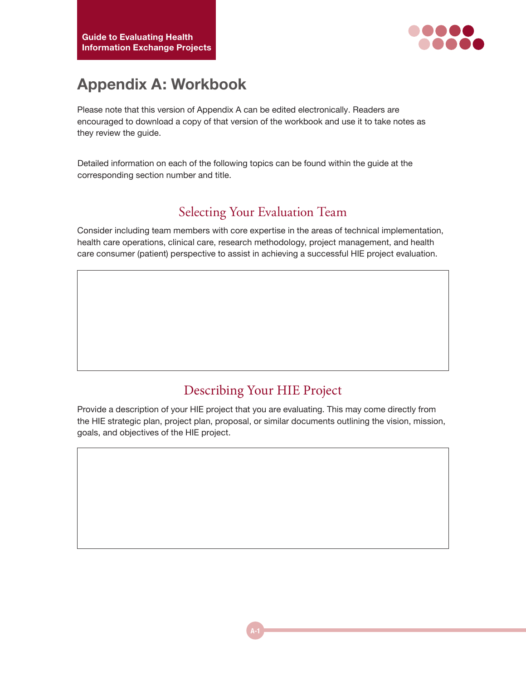

# **Appendix A: Workbook**

Please note that this version of Appendix A can be edited electronically. Readers are encouraged to download a copy of that version of the workbook and use it to take notes as they review the guide.

Detailed information on each of the following topics can be found within the guide at the corresponding section number and title.

#### Selecting Your Evaluation Team

Consider including team members with core expertise in the areas of technical implementation, health care operations, clinical care, research methodology, project management, and health care consumer (patient) perspective to assist in achieving a successful HIE project evaluation.

#### Describing Your HIE Project

Provide a description of your HIE project that you are evaluating. This may come directly from the HIE strategic plan, project plan, proposal, or similar documents outlining the vision, mission, goals, and objectives of the HIE project.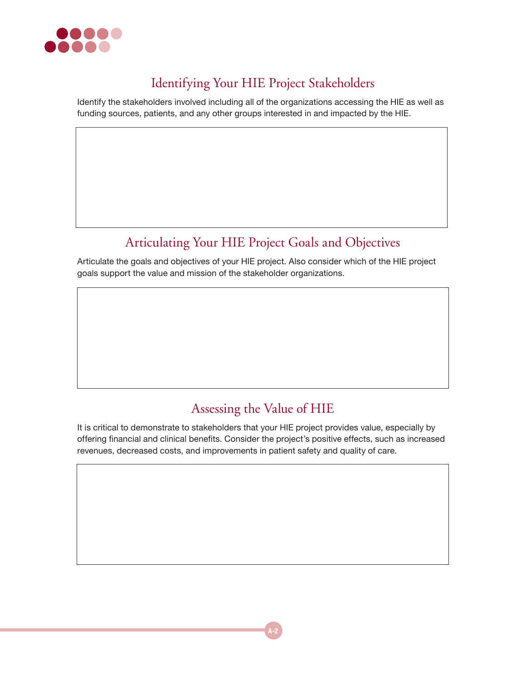

### Identifying Your HIE Project Stakeholders

Identify the stakeholders involved including all of the organizations accessing the HIE as well as funding sources, patients, and any other groups interested in and impacted by the HIE.

# Articulating Your HIE Project Goals and Objectives

Articulate the goals and objectives of your HIE project. Also consider which of the HIE project goals support the value and mission of the stakeholder organizations.

### Assessing the Value of HIE

It is critical to demonstrate to stakeholders that your HIE project provides value, especially by offering financial and clinical benefits. Consider the project's positive effects, such as increased revenues, decreased costs, and improvements in patient safety and quality of care.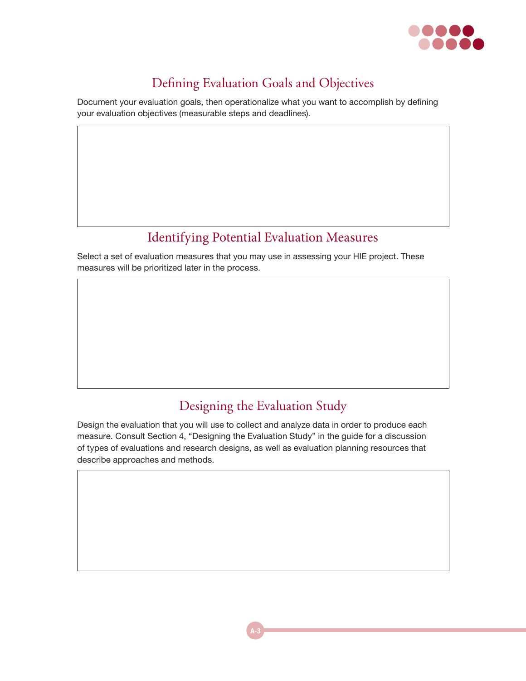

## Defining Evaluation Goals and Objectives

Document your evaluation goals, then operationalize what you want to accomplish by defining your evaluation objectives (measurable steps and deadlines).

# Identifying Potential Evaluation Measures

Select a set of evaluation measures that you may use in assessing your HIE project. These measures will be prioritized later in the process.

# Designing the Evaluation Study

Design the evaluation that you will use to collect and analyze data in order to produce each measure. Consult Section 4, "Designing the Evaluation Study" in the guide for a discussion of types of evaluations and research designs, as well as evaluation planning resources that describe approaches and methods.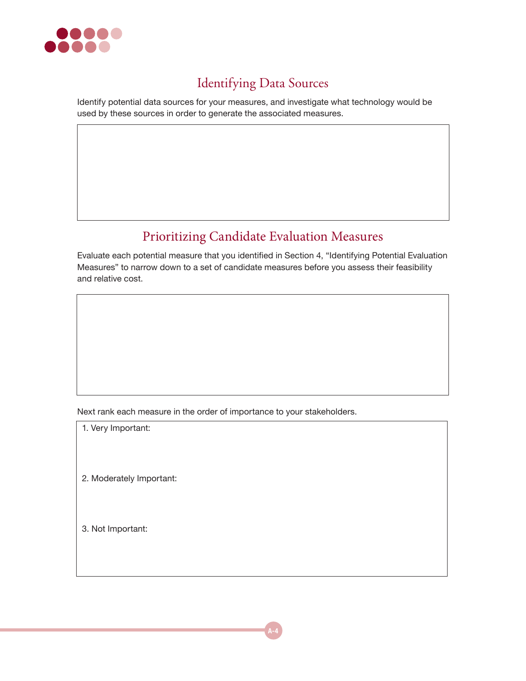

## Identifying Data Sources

Identify potential data sources for your measures, and investigate what technology would be used by these sources in order to generate the associated measures.

#### Prioritizing Candidate Evaluation Measures

Evaluate each potential measure that you identified in Section 4, "Identifying Potential Evaluation Measures" to narrow down to a set of candidate measures before you assess their feasibility and relative cost.

Next rank each measure in the order of importance to your stakeholders.

1. Very Important:

2. Moderately Important:

3. Not Important: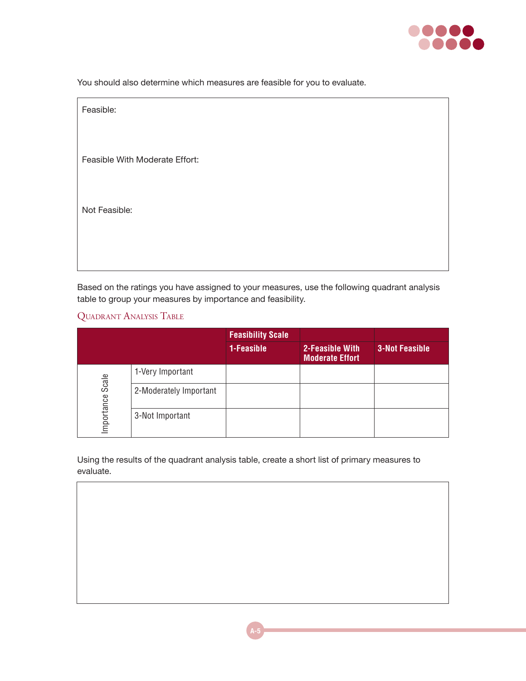

You should also determine which measures are feasible for you to evaluate.

| Feasible:                      |  |
|--------------------------------|--|
|                                |  |
| Feasible With Moderate Effort: |  |
|                                |  |
| Not Feasible:                  |  |
|                                |  |
|                                |  |

Based on the ratings you have assigned to your measures, use the following quadrant analysis table to group your measures by importance and feasibility.

QUADRANT ANALYSIS TABLE

|                    |                        | <b>Feasibility Scale</b> |                                           |                       |
|--------------------|------------------------|--------------------------|-------------------------------------------|-----------------------|
|                    |                        | 1-Feasible               | 2-Feasible With<br><b>Moderate Effort</b> | <b>3-Not Feasible</b> |
| Scale<br>mportance | 1-Very Important       |                          |                                           |                       |
|                    | 2-Moderately Important |                          |                                           |                       |
|                    | 3-Not Important        |                          |                                           |                       |

Using the results of the quadrant analysis table, create a short list of primary measures to evaluate.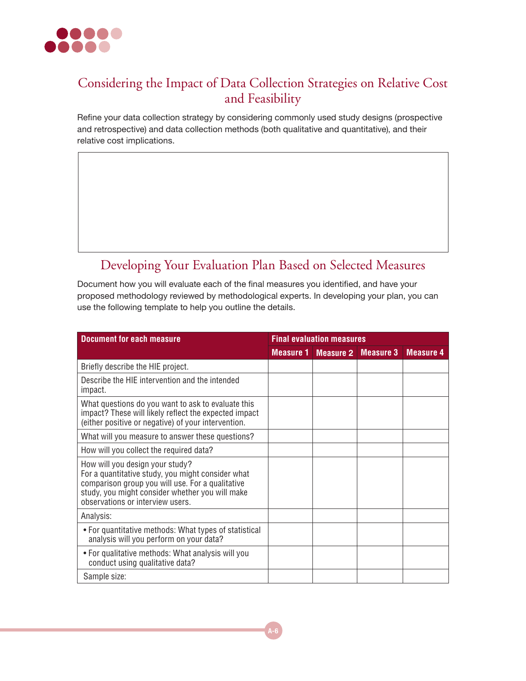

#### Considering the Impact of Data Collection Strategies on Relative Cost and Feasibility

Refine your data collection strategy by considering commonly used study designs (prospective and retrospective) and data collection methods (both qualitative and quantitative), and their relative cost implications.

### Developing Your Evaluation Plan Based on Selected Measures

Document how you will evaluate each of the final measures you identified, and have your proposed methodology reviewed by methodological experts. In developing your plan, you can use the following template to help you outline the details.

| <b>Document for each measure</b>                                                                                                                                                                                                | <b>Final evaluation measures</b> |                            |  |                            |
|---------------------------------------------------------------------------------------------------------------------------------------------------------------------------------------------------------------------------------|----------------------------------|----------------------------|--|----------------------------|
|                                                                                                                                                                                                                                 |                                  | <b>Measure 1 Measure 2</b> |  | <b>Measure 3</b> Measure 4 |
| Briefly describe the HIE project.                                                                                                                                                                                               |                                  |                            |  |                            |
| Describe the HIE intervention and the intended<br>impact.                                                                                                                                                                       |                                  |                            |  |                            |
| What questions do you want to ask to evaluate this<br>impact? These will likely reflect the expected impact<br>(either positive or negative) of your intervention.                                                              |                                  |                            |  |                            |
| What will you measure to answer these questions?                                                                                                                                                                                |                                  |                            |  |                            |
| How will you collect the required data?                                                                                                                                                                                         |                                  |                            |  |                            |
| How will you design your study?<br>For a quantitative study, you might consider what<br>comparison group you will use. For a qualitative<br>study, you might consider whether you will make<br>observations or interview users. |                                  |                            |  |                            |
| Analysis:                                                                                                                                                                                                                       |                                  |                            |  |                            |
| • For quantitative methods: What types of statistical<br>analysis will you perform on your data?                                                                                                                                |                                  |                            |  |                            |
| • For qualitative methods: What analysis will you<br>conduct using qualitative data?                                                                                                                                            |                                  |                            |  |                            |
| Sample size:                                                                                                                                                                                                                    |                                  |                            |  |                            |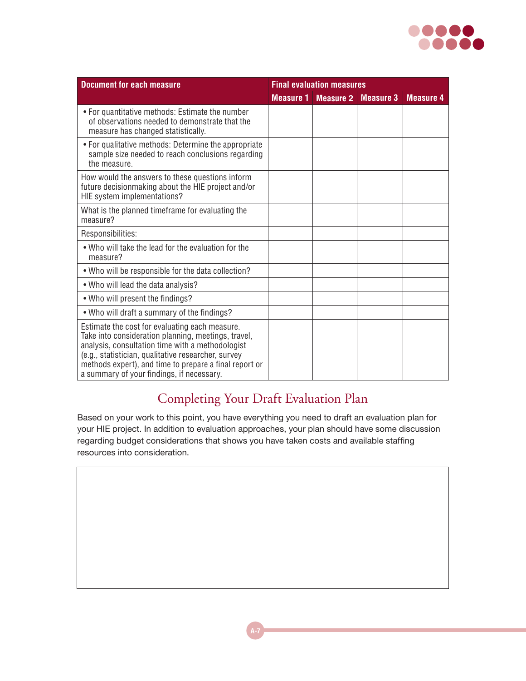

| <b>Document for each measure</b>                                                                                                                                                                                                                                                                                        | <b>Final evaluation measures</b> |                  |                  |                  |
|-------------------------------------------------------------------------------------------------------------------------------------------------------------------------------------------------------------------------------------------------------------------------------------------------------------------------|----------------------------------|------------------|------------------|------------------|
|                                                                                                                                                                                                                                                                                                                         | <b>Measure 1</b>                 | <b>Measure 2</b> | <b>Measure 3</b> | <b>Measure 4</b> |
| • For quantitative methods: Estimate the number<br>of observations needed to demonstrate that the<br>measure has changed statistically.                                                                                                                                                                                 |                                  |                  |                  |                  |
| • For qualitative methods: Determine the appropriate<br>sample size needed to reach conclusions regarding<br>the measure.                                                                                                                                                                                               |                                  |                  |                  |                  |
| How would the answers to these questions inform<br>future decisionmaking about the HIE project and/or<br>HIE system implementations?                                                                                                                                                                                    |                                  |                  |                  |                  |
| What is the planned timeframe for evaluating the<br>measure?                                                                                                                                                                                                                                                            |                                  |                  |                  |                  |
| Responsibilities:                                                                                                                                                                                                                                                                                                       |                                  |                  |                  |                  |
| . Who will take the lead for the evaluation for the<br>measure?                                                                                                                                                                                                                                                         |                                  |                  |                  |                  |
| . Who will be responsible for the data collection?                                                                                                                                                                                                                                                                      |                                  |                  |                  |                  |
| . Who will lead the data analysis?                                                                                                                                                                                                                                                                                      |                                  |                  |                  |                  |
| . Who will present the findings?                                                                                                                                                                                                                                                                                        |                                  |                  |                  |                  |
| • Who will draft a summary of the findings?                                                                                                                                                                                                                                                                             |                                  |                  |                  |                  |
| Estimate the cost for evaluating each measure.<br>Take into consideration planning, meetings, travel,<br>analysis, consultation time with a methodologist<br>(e.g., statistician, qualitative researcher, survey<br>methods expert), and time to prepare a final report or<br>a summary of your findings, if necessary. |                                  |                  |                  |                  |

# Completing Your Draft Evaluation Plan

Based on your work to this point, you have everything you need to draft an evaluation plan for your HIE project. In addition to evaluation approaches, your plan should have some discussion regarding budget considerations that shows you have taken costs and available staffing resources into consideration.